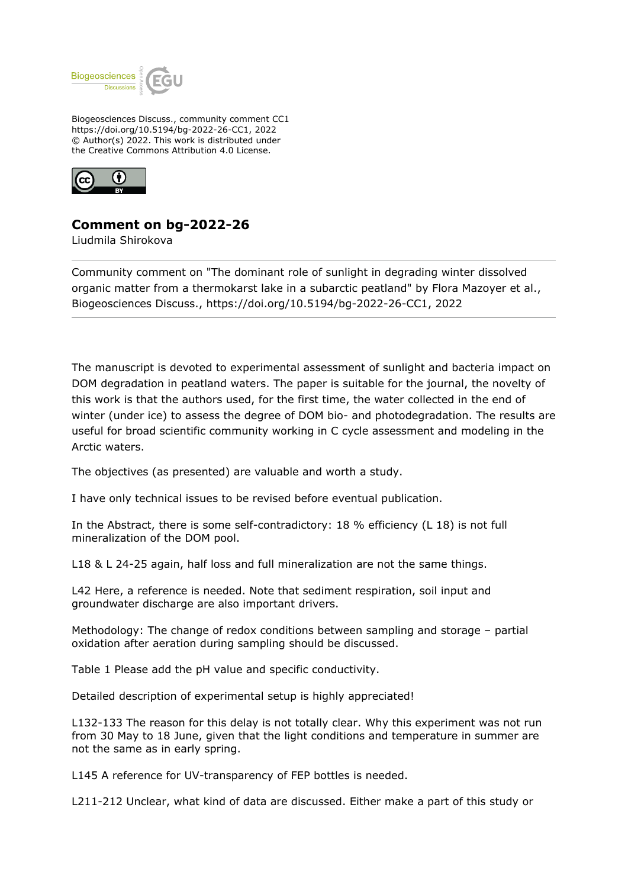

Biogeosciences Discuss., community comment CC1 https://doi.org/10.5194/bg-2022-26-CC1, 2022 © Author(s) 2022. This work is distributed under the Creative Commons Attribution 4.0 License.



## **Comment on bg-2022-26**

Liudmila Shirokova

Community comment on "The dominant role of sunlight in degrading winter dissolved organic matter from a thermokarst lake in a subarctic peatland" by Flora Mazoyer et al., Biogeosciences Discuss., https://doi.org/10.5194/bg-2022-26-CC1, 2022

The manuscript is devoted to experimental assessment of sunlight and bacteria impact on DOM degradation in peatland waters. The paper is suitable for the journal, the novelty of this work is that the authors used, for the first time, the water collected in the end of winter (under ice) to assess the degree of DOM bio- and photodegradation. The results are useful for broad scientific community working in C cycle assessment and modeling in the Arctic waters.

The objectives (as presented) are valuable and worth a study.

I have only technical issues to be revised before eventual publication.

In the Abstract, there is some self-contradictory: 18 % efficiency (L 18) is not full mineralization of the DOM pool.

L18 & L 24-25 again, half loss and full mineralization are not the same things.

L42 Here, a reference is needed. Note that sediment respiration, soil input and groundwater discharge are also important drivers.

Methodology: The change of redox conditions between sampling and storage – partial oxidation after aeration during sampling should be discussed.

Table 1 Please add the pH value and specific conductivity.

Detailed description of experimental setup is highly appreciated!

L132-133 The reason for this delay is not totally clear. Why this experiment was not run from 30 May to 18 June, given that the light conditions and temperature in summer are not the same as in early spring.

L145 A reference for UV-transparency of FEP bottles is needed.

L211-212 Unclear, what kind of data are discussed. Either make a part of this study or